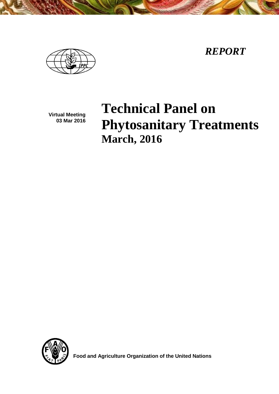*REPORT*

**Virtual Meeting 03 Mar 2016**

# **Technical Panel on Phytosanitary Treatments March, 2016**



 **Food and Agriculture Organization of the United Nations**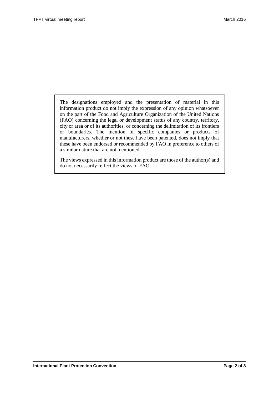The designations employed and the presentation of material in this information product do not imply the expression of any opinion whatsoever on the part of the Food and Agriculture Organization of the United Nations (FAO) concerning the legal or development status of any country, territory, city or area or of its authorities, or concerning the delimitation of its frontiers or boundaries. The mention of specific companies or products of manufacturers, whether or not these have been patented, does not imply that these have been endorsed or recommended by FAO in preference to others of a similar nature that are not mentioned.

The views expressed in this information product are those of the author(s) and do not necessarily reflect the views of FAO.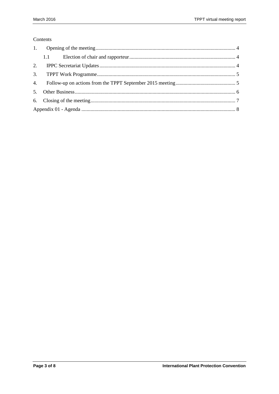#### Contents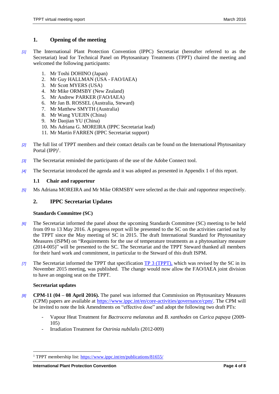# <span id="page-3-0"></span>**1. Opening of the meeting**

- *[1]* The International Plant Protection Convention (IPPC) Secretariat (hereafter referred to as the Secretariat) lead for Technical Panel on Phytosanitary Treatments (TPPT) chaired the meeting and welcomed the following participants:
	- 1. Mr Toshi DOHINO (Japan)
	- 2. Mr Guy HALLMAN (USA FAO/IAEA)
	- 3. Mr Scott MYERS (USA)
	- 4. Mr Mike ORMSBY (New Zealand)
	- 5. Mr Andrew PARKER (FAO/IAEA)
	- 6. Mr Jan B. ROSSEL (Australia, Steward)
	- 7. Mr Matthew SMYTH (Australia)
	- 8. Mr Wang YUEJIN (China)
	- 9. Mr Daojian YU (China)
	- 10. Ms Adriana G. MOREIRA (IPPC Secretariat lead)
	- 11. Mr Martin FARREN (IPPC Secretariat support)
- *[2]* The full list of TPPT members and their contact details can be found on the International Phytosanitary Portal  $(IPP)^1$ .
- *[3]* The Secretariat reminded the participants of the use of the Adobe Connect tool.
- *[4]* The Secretariat introduced the agenda and it was adopted as presented in Appendix 1 of this report.

## <span id="page-3-1"></span>**1.1 Chair and rapporteur**

*[5]* Ms Adriana MOREIRA and Mr Mike ORMSBY were selected as the chair and rapporteur respectively.

# <span id="page-3-2"></span>**2. IPPC Secretariat Updates**

## **Standards Committee (SC)**

- *[6]* The Secretariat informed the panel about the upcoming Standards Committee (SC) meeting to be held from 09 to 13 May 2016. A progress report will be presented to the SC on the activities carried out by the TPPT since the May meeting of SC in 2015. The draft International Standard for Phytosanitary Measures (ISPM) on "Requirements for the use of temperature treatments as a phytosanitary measure (2014-005)" will be presented to the SC. The Secretariat and the TPPT Steward thanked all members for their hard work and commitment, in particular to the Steward of this draft ISPM.
- *[7]* The Secretariat informed the TPPT that specification [TP](https://www.ippc.int/en/publications/1308/) 3 (TPPT), which was revised by the SC in its November 2015 meeting, was published. The change would now allow the FAO/IAEA joint division to have an ongoing seat on the TPPT.

## **Secretariat updates**

- *[8]* **CPM-11 (04 – 08 April 2016).** The panel was informed that Commission on Phytosanitary Measures (CPM) papers are available at [https://www.ippc.int/en/core-activities/governance/cpm/.](https://www.ippc.int/en/core-activities/governance/cpm/) The CPM will be invited to note the Ink Amendments on "effective dose" and adopt the following two draft PTs:
	- Vapour Heat Treatment for *Bactrocera melanotus* and *B. xanthodes* on *Carica papaya* (2009- 105)
	- Irradiation Treatment for *Ostrinia nubilalis* (2012-009)

 $\overline{a}$ <sup>1</sup> TPPT membership list: https://www.ippc.int/en/publications/81655/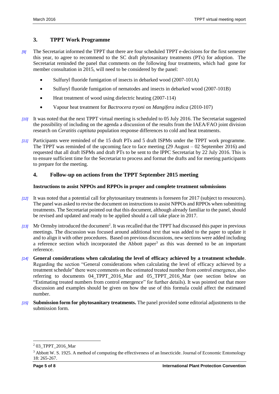# <span id="page-4-0"></span>**3. TPPT Work Programme**

- *[9]* The Secretariat informed the TPPT that there are four scheduled TPPT e-decisions for the first semester this year, to agree to recommend to the SC draft phytosanitary treatments (PTs) for adoption. The Secretariat reminded the panel that comments on the following four treatments, which had gone for member consultation in 2015, will need to be considered by the panel:
	- Sulfuryl fluoride fumigation of insects in debarked wood (2007-101A)
	- Sulfuryl fluoride fumigation of nematodes and insects in debarked wood (2007-101B)
	- Heat treatment of wood using dielectric heating (2007-114)
	- Vapour heat treatment for *Bactrocera tryoni* on *Mangifera indica* (2010-107)
- *[10]* It was noted that the next TPPT virtual meeting is scheduled to 05 July 2016. The Secretariat suggested the possibility of including on the agenda a discussion of the results from the IAEA/FAO joint division research on *Ceratitis captitata* population response differences to cold and heat treatments.
- *[11]* Participants were reminded of the 15 draft PTs and 5 draft ISPMs under the TPPT work programme. The TPPT was reminded of the upcoming face to face meeting (29 August – 02 September 2016) and requested that all draft ISPMs and draft PTs to be sent to the IPPC Secretariat by 22 July 2016. This is to ensure sufficient time for the Secretariat to process and format the drafts and for meeting participants to prepare for the meeting.

# <span id="page-4-1"></span>**4. Follow-up on actions from the TPPT September 2015 meeting**

#### **Instructions to assist NPPOs and RPPOs in proper and complete treatment submissions**

- *[12]* It was noted that a potential call for phytosanitary treatments is foreseen for 2017 (subject to resources). The panel was asked to revise the document on instructions to assist NPPOs and RPPOs when submitting treatments. The Secretariat pointed out that this document, although already familiar to the panel, should be revised and updated and ready to be applied should a call take place in 2017.
- [13] Mr Ormsby introduced the document<sup>2</sup>. It was recalled that the TPPT had discussed this paper in previous meetings. The discussion was focused around additional text that was added to the paper to update it and to align it with other procedures. Based on previous discussions, new sections were added including a reference section which incorporated the Abbott paper<sup>3</sup> as this was deemed to be an important reference.
- *[14]* **General considerations when calculating the level of efficacy achieved by a treatment schedule**. Regarding the section "General considerations when calculating the level of efficacy achieved by a treatment schedule" there were comments on the estimated treated number from control emergence, also referring to documents 04\_TPPT\_2016\_Mar and 05\_TPPT\_2016\_Mar (see section below on "Estimating treated numbers from control emergence" for further details). It was pointed out that more discussion and examples should be given on how the use of this formula could affect the estimated number.
- *[15]* **Submission form for phytosanitary treatments.** The panel provided some editorial adjustments to the submission form.

l

<sup>2</sup> 03\_TPPT\_2016\_Mar

<sup>&</sup>lt;sup>3</sup> Abbott W. S. 1925. A method of computing the effectiveness of an Insecticide. Journal of Economic Entomology 18: 265-267.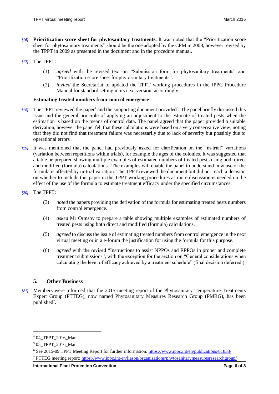- *[16]* **Prioritization score sheet for phytosanitary treatments.** It was noted that the "Prioritization score sheet for phytosanitary treatments" should be the one adopted by the CPM in 2008, however revised by the TPPT in 2009 as presented in the document and in the procedure manual.
- *[17]* The TPPT:
	- (1) *agreed* with the revised text on "Submission form for phytosanitary treatments" and "Prioritization score sheet for phytosanitary treatments".
	- (2) *invited* the Secretariat to updated the TPPT working procedures in the IPPC Procedure Manual for standard setting in its next version, accordingly.

#### **Estimating treated numbers from control emergence**

- [18] The TPPT reviewed the paper<sup>4</sup> and the supporting document provided<sup>5</sup>. The panel briefly discussed this issue and the general principle of applying an adjustment to the estimate of treated pests when the estimation is based on the means of control data. The panel agreed that the paper provided a suitable derivation, however the panel felt that these calculations were based on a very conservative view, noting that they did not find that treatment failure was necessarily due to lack of severity but possibly due to operational errors<sup>6</sup>.
- *[19]* It was mentioned that the panel had previously asked for clarification on the "in-trial" variations (variation between repetitions within trials), for example the ages of the colonies. It was suggested that a table be prepared showing multiple examples of estimated numbers of treated pests using both direct and modified (formula) calculations. The examples will enable the panel to understand how use of the formula is affected by in-trial variation. The TPPT reviewed the document but did not reach a decision on whether to include this paper in the TPPT working procedures as more discussion is needed on the effect of the use of the formula to estimate treatment efficacy under the specified circumstances.
- *[20]* The TPPT:
	- (3) *noted* the papers providing the derivation of the formula for estimating treated pests numbers from control emergence.
	- (4) *asked* Mr Ormsby to prepare a table showing multiple examples of estimated numbers of treated pests using both direct and modified (formula) calculations.
	- (5) *agreed* to discuss the issue of estimating treated numbers from control emergence in the next virtual meeting or in a e-forum the justification for using the formula for this purpose.
	- (6) *agreed* with the revised "Instructions to assist NPPOs and RPPOs in proper and complete treatment submissions", with the exception for the section on "General considerations when calculating the level of efficacy achieved by a treatment schedule" (final decision deferred.).

#### <span id="page-5-0"></span>**5. Other Business**

*[21]* Members were informed that the 2015 meeting report of the Phytosanitary Temperature Treatments Expert Group (PTTEG), now named Phytosanitary Measures Research Group (PMRG), has been published<sup>7</sup>.

l

<sup>&</sup>lt;sup>4</sup> 04\_TPPT\_2016\_Mar

<sup>5</sup> 05\_TPPT\_2016\_Mar

<sup>6</sup> See 2015-09 TPPT Meeting Report for further information:<https://www.ippc.int/en/publications/81833/>

<sup>7</sup> PTTEG meeting report:<https://www.ippc.int/en/liason/organizations/phytosanitarymeasuresresearchgroup/>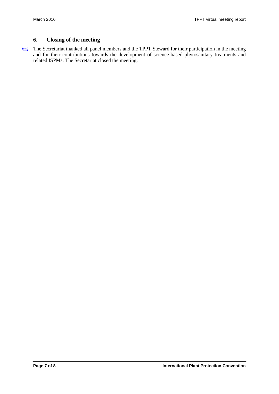# <span id="page-6-0"></span>**6. Closing of the meeting**

*[22]* The Secretariat thanked all panel members and the TPPT Steward for their participation in the meeting and for their contributions towards the development of science-based phytosanitary treatments and related ISPMs. The Secretariat closed the meeting.